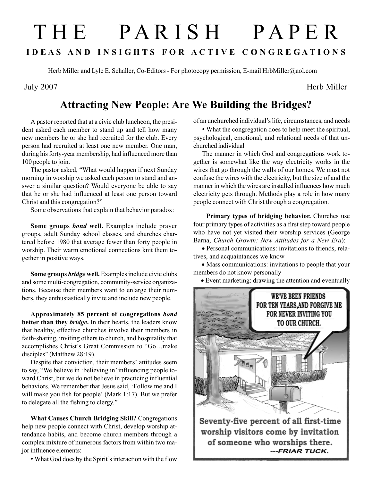## T H E P A R I S H P A P E R I D E A S A N D I N S I G H T S F O R A C T I V E C O N G R E G A T I O N S

Herb Miller and Lyle E. Schaller, Co-Editors - For photocopy permission, E-mail HrbMiller@aol.com

July 2007 Herb Miller

## Attracting New People: Are We Building the Bridges?

A pastor reported that at a civic club luncheon, the president asked each member to stand up and tell how many new members he or she had recruited for the club. Every person had recruited at least one new member. One man, during his forty-year membership, had influenced more than 100 people to join.

The pastor asked, "What would happen if next Sunday morning in worship we asked each person to stand and answer a similar question? Would everyone be able to say that he or she had influenced at least one person toward Christ and this congregation?"

Some observations that explain that behavior paradox:

Some groups bond well. Examples include prayer groups, adult Sunday school classes, and churches chartered before 1980 that average fewer than forty people in worship. Their warm emotional connections knit them together in positive ways.

Some groups bridge well. Examples include civic clubs and some multi-congregation, community-service organizations. Because their members want to enlarge their numbers, they enthusiastically invite and include new people.

Approximately 85 percent of congregations bond better than they *bridge*. In their hearts, the leaders know that healthy, effective churches involve their members in faith-sharing, inviting others to church, and hospitality that accomplishes Christ's Great Commission to "Go…make disciples" (Matthew 28:19).

Despite that conviction, their members' attitudes seem to say, "We believe in 'believing in' influencing people toward Christ, but we do not believe in practicing influential behaviors. We remember that Jesus said, 'Follow me and I will make you fish for people' (Mark 1:17). But we prefer to delegate all the fishing to clergy."

What Causes Church Bridging Skill? Congregations help new people connect with Christ, develop worship attendance habits, and become church members through a complex mixture of numerous factors from within two major influence elements:

• What God does by the Spirit's interaction with the flow

of an unchurched individual's life, circumstances, and needs

• What the congregation does to help meet the spiritual, psychological, emotional, and relational needs of that unchurched individual

The manner in which God and congregations work together is somewhat like the way electricity works in the wires that go through the walls of our homes. We must not confuse the wires with the electricity, but the size of and the manner in which the wires are installed influences how much electricity gets through. Methods play a role in how many people connect with Christ through a congregation.

 Primary types of bridging behavior. Churches use four primary types of activities as a first step toward people who have not yet visited their worship services (George Barna, Church Growth: New Attitudes for a New Era):

 • Personal communications: invitations to friends, relatives, and acquaintances we know

 • Mass communications: invitations to people that your members do not know personally

• Event marketing: drawing the attention and eventually